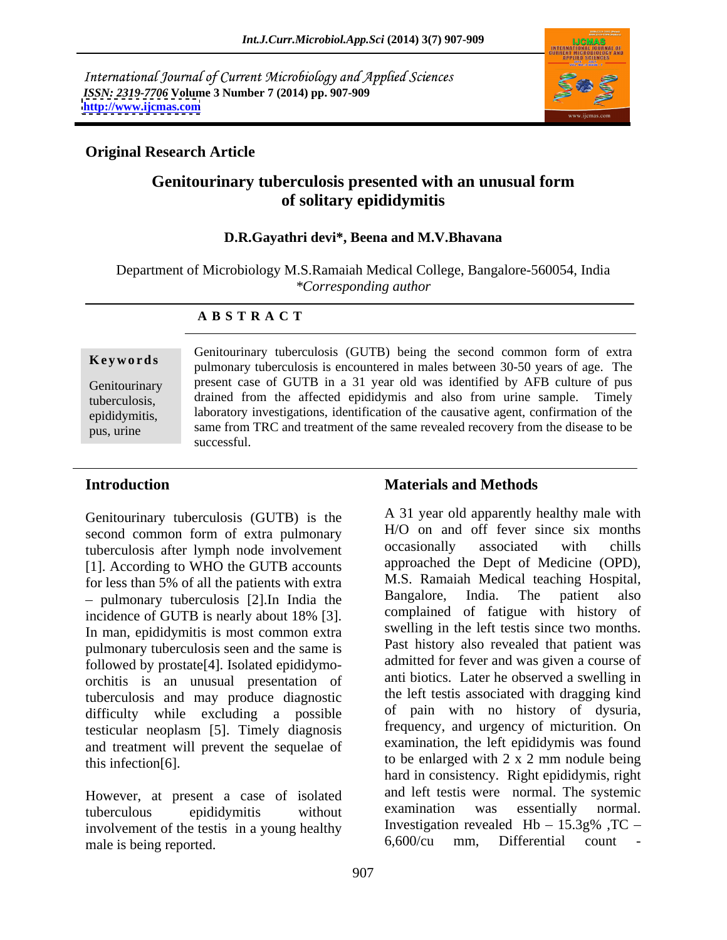International Journal of Current Microbiology and Applied Sciences *ISSN: 2319-7706* **Volume 3 Number 7 (2014) pp. 907-909 <http://www.ijcmas.com>**



# **Original Research Article**

# **Genitourinary tuberculosis presented with an unusual form of solitary epididymitis**

## **D.R.Gayathri devi\*, Beena and M.V.Bhavana**

Department of Microbiology M.S.Ramaiah Medical College, Bangalore-560054, India *\*Corresponding author* 

### **A B S T R A C T**

**Keywords**<br>
pulmonary tuberculosis is encountered in males between 30-50 years of age. The Genitourinary present case of GUTB in a 31 year old was identified by AFB culture of pus tuberculosis, drained from the affected epididymis and also from urine sample. Timely epididymitis, laboratory investigations, identification of the causative agent, confirmation of the pus, urine same from TRC and treatment of the same revealed recovery from the disease to be Genitourinary tuberculosis (GUTB) being the second common form of extra successful.

Genitourinary tuberculosis (GUTB) is the second common form of extra pulmonary<br>the extra produce the second of the second with chills<br>tuberculosis after lymph node involvement occasionally associated with chills tuberculosis after lymph node involvement [1]. According to WHO the GUTB accounts for less than 5% of all the patients with extra<br>multiple is the discrete band by Bangalore. India. The patient also pulmonary tuberculosis [2].In India the In man, epididymitis is most common extra pulmonary tuberculosis seen and the same is followed by prostate[4]. Isolated epididymo orchitis is an unusual presentation of tuberculosis and may produce diagnostic difficulty while excluding a possible testicular neoplasm [5]. Timely diagnosis and treatment will prevent the sequelae of

However, at present a case of isolated and left test were normal. The systemic<br>tuberculous enididy mithout examination was essentially normal. involvement of the testis in a young healthy  $\frac{1}{2}$  investigation revealed Hb – 15.3g% TC – male is being reported to the count – 6.600/cu mm. Differential count – male is being reported.

### **Introduction Introduction Introduction Introduction Materials and Methods**

incidence of GUTB is nearly about 18% [3]. Complained of fatigue with history of this infection[6].  $\qquad \qquad$  to be enlarged with 2 x 2 mm nodule being tuberculous epididymitis without examination was essentially normal. A 31 year old apparently healthy male with H/O on and off fever since six months occasionally associated with chills approached the Dept of Medicine (OPD), M.S. Ramaiah Medical teaching Hospital, Bangalore, India. The patient also complained of fatigue with history of swelling in the left testis since two months. Past history also revealed that patient was admitted for fever and was given a course of anti biotics. Later he observed a swelling in the left testis associated with dragging kind of pain with no history of dysuria, frequency, and urgency of micturition. On examination, the left epididymis was found hard in consistency. Right epididymis, right and left testis were normal. The systemic examination was essentially normal. Investigation revealed  $Hb - 15.3g\%$ , TC – 6,600/cu mm, Differential count -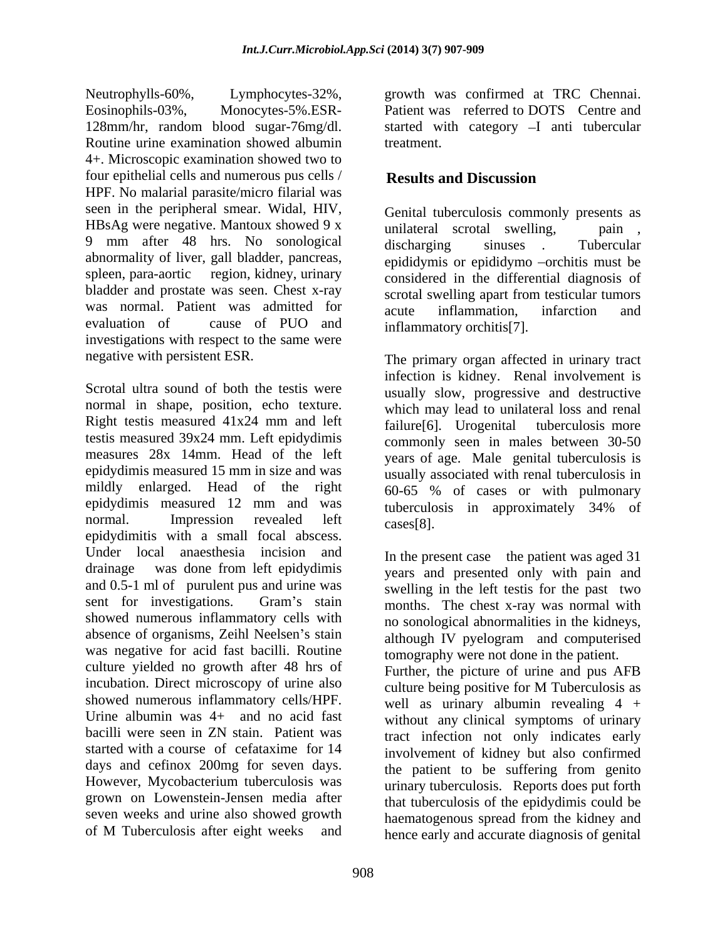Neutrophylls-60%, Lymphocytes-32%, growth was confirmed at TRC Chennai. Eosinophils-03%, Monocytes-5%.ESR- Patient was referred to DOTS Centre and 128mm/hr, random blood sugar-76mg/dl. started with category -I anti tubercular Routine urine examination showed albumin treatment. 4+. Microscopic examination showed two to four epithelial cells and numerous pus cells / Results and Discussion HPF. No malarial parasite/micro filarial was seen in the peripheral smear. Widal, HIV, HBsAg were negative. Mantoux showed 9 x unilateral scrotal swelling, pain. 9 mm after 48 hrs. No sonological discharging sinuses Tubercular abnormality of liver, gall bladder, pancreas, spleen, para-aortic region, kidney, urinary bladder and prostate was seen. Chest x-ray scrotal swelling apart from testicular tumors was normal. Patient was admitted for  $\overline{a}$  acute inflammation infarction and investigations with respect to the same were

Scrotal ultra sound of both the testis were usually slow, progressive and destructive normal in shape, position, echo texture. Right testis measured 41x24 mm and left failure [6]. Urogenital tuberculosis more testis measured 39x24 mm. Left epidydimis<br>measures 28x 14mm. Head of the left measures 28x 14mm. Head of the left years of age. Male genital tuberculosis is epidydimis measured 15 mm in size and was mildly enlarged. Head of the right  $60-65^\circ$  % of cases or with pulmonary epidydimis measured 12 mm and was normal. Impression revealed left <sub>cases</sub>[8] normal. Impression revealed left cases[8].<br>epidydimitis with a small focal abscess. Under local anaesthesia incision and In the present case the patient was aged 31 drainage was done from left epidydimis years and presented only with pain and and 0.5-1 ml of purulent pus and urine was swelling in the left testis for the past two sent for investigations. Gram's stain  $\frac{1}{2}$  months The chest x-ray was normal with showed numerous inflammatory cells with absence of organisms, Zeihl Neelsen's stain was negative for acid fast bacilli. Routine culture yielded no growth after 48 hrs of Further, the picture of urine and pus AFB incubation. Direct microscopy of urine also culture being positive for M Tuberculosis as showed numerous inflammatory cells/HPF. Urine albumin was 4+ and no acid fast without any clinical symptoms of urinary bacilli were seen in ZN stain. Patient was tract infection not only indicates early started with a course of cefataxime for 14 involvement of kidney but also confirmed days and cefinox 200mg for seven days. However, Mycobacterium tuberculosis was grown on Lowenstein-Jensen media after that tuberculosis of the epidydimis could be seven weeks and urine also showed growth haematogenous spread from the kidney and

908

treatment.

# **Results and Discussion**

evaluation of cause of PUO and inflammatory orchitis<sup>[7]</sup> Genital tuberculosis commonly presents as unilateral scrotal swelling, discharging sinuses . Tubercular epididymis or epididymo -orchitis must be considered in the differential diagnosis of scrotal swelling apart from testicular tumors acute inflammation, infarction and inflammatory orchitis[7].

negative with persistent ESR. The primary organ affected in urinary tract infection is kidney. Renal involvement is which may lead to unilateral loss and renal failure[6]. Urogenital tuberculosis more commonly seen in males between 30-50 usually associated with renal tuberculosis in 60-65 % of cases or with pulmonary tuberculosis in approximately 34% of  $cases[8]$ .

> months. The chest x-ray was normal with no sonological abnormalities in the kidneys, although IV pyelogram and computerised tomography were not done in the patient.

of M Tuberculosis after eight weeks and hence early and accurate diagnosis of genital culture being positive for M Tuberculosis as well as urinary albumin revealing  $4 +$ the patient to be suffering from genito urinary tuberculosis. Reports does put forth hence early and accurate diagnosis of genital